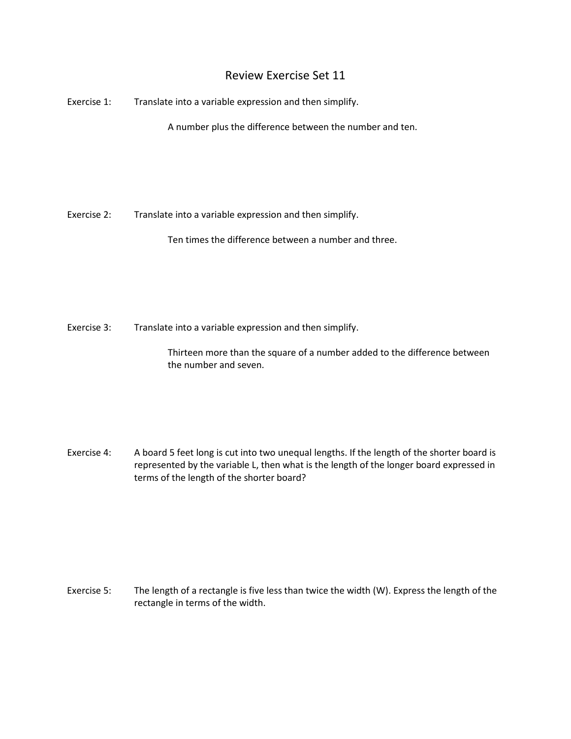## Review Exercise Set 11

Exercise 1: Translate into a variable expression and then simplify.

A number plus the difference between the number and ten.

Exercise 2: Translate into a variable expression and then simplify.

Ten times the difference between a number and three.

Exercise 3: Translate into a variable expression and then simplify.

Thirteen more than the square of a number added to the difference between the number and seven.

Exercise 4: A board 5 feet long is cut into two unequal lengths. If the length of the shorter board is represented by the variable L, then what is the length of the longer board expressed in terms of the length of the shorter board?

Exercise 5: The length of a rectangle is five less than twice the width (W). Express the length of the rectangle in terms of the width.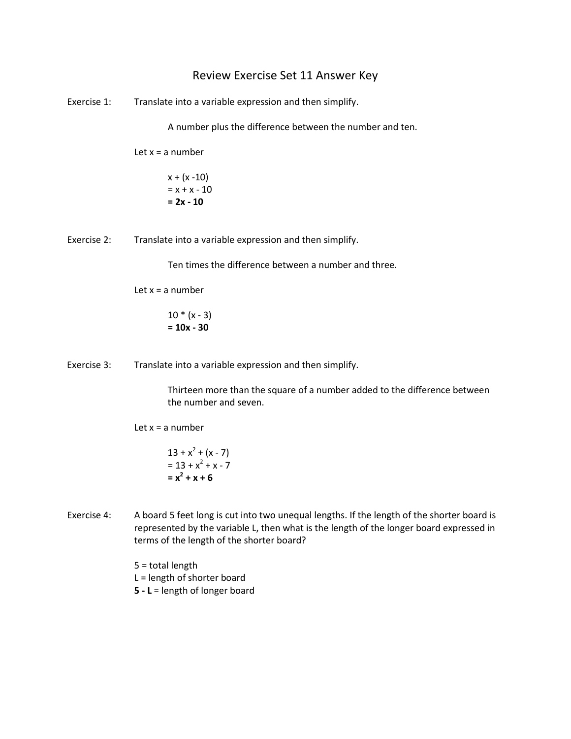## Review Exercise Set 11 Answer Key

Exercise 1: Translate into a variable expression and then simplify.

A number plus the difference between the number and ten.

Let  $x = a$  number

 $x + (x - 10)$  $= x + x - 10$ **= 2x - 10**

Exercise 2: Translate into a variable expression and then simplify.

Ten times the difference between a number and three.

Let  $x = a$  number

 $10 * (x - 3)$ **= 10x - 30**

Exercise 3: Translate into a variable expression and then simplify.

Thirteen more than the square of a number added to the difference between the number and seven.

Let  $x = a$  number

$$
13 + x2 + (x - 7)
$$
  
= 13 + x<sup>2</sup> + x - 7  
= x<sup>2</sup> + x + 6

Exercise 4: A board 5 feet long is cut into two unequal lengths. If the length of the shorter board is represented by the variable L, then what is the length of the longer board expressed in terms of the length of the shorter board?

> 5 = total length L = length of shorter board **5 - L** = length of longer board